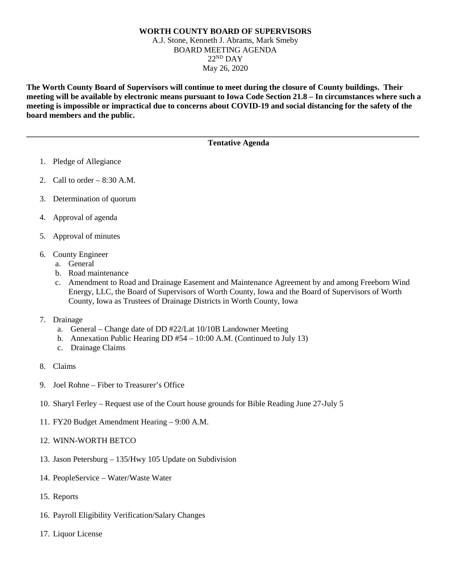## **WORTH COUNTY BOARD OF SUPERVISORS** A.J. Stone, Kenneth J. Abrams, Mark Smeby BOARD MEETING AGENDA  $22<sup>ND</sup>$  DAY May 26, 2020

**The Worth County Board of Supervisors will continue to meet during the closure of County buildings. Their meeting will be available by electronic means pursuant to Iowa Code Section 21.8 – In circumstances where such a meeting is impossible or impractical due to concerns about COVID-19 and social distancing for the safety of the board members and the public.** 

**\_\_\_\_\_\_\_\_\_\_\_\_\_\_\_\_\_\_\_\_\_\_\_\_\_\_\_\_\_\_\_\_\_\_\_\_\_\_\_\_\_\_\_\_\_\_\_\_\_\_\_\_\_\_\_\_\_\_\_\_\_\_\_\_\_\_\_\_\_\_\_\_\_\_\_\_\_\_\_\_\_\_\_\_\_\_\_\_\_\_\_\_\_\_\_\_\_**

## **Tentative Agenda**

- 1. Pledge of Allegiance
- 2. Call to order  $-8:30$  A.M.
- 3. Determination of quorum
- 4. Approval of agenda
- 5. Approval of minutes
- 6. County Engineer
	- a. General
	- b. Road maintenance
	- c. Amendment to Road and Drainage Easement and Maintenance Agreement by and among Freeborn Wind Energy, LLC, the Board of Supervisors of Worth County, Iowa and the Board of Supervisors of Worth County, Iowa as Trustees of Drainage Districts in Worth County, Iowa
- 7. Drainage
	- a. General Change date of DD #22/Lat 10/10B Landowner Meeting
	- b. Annexation Public Hearing DD #54 10:00 A.M. (Continued to July 13)
	- c. Drainage Claims
- 8. Claims
- 9. Joel Rohne Fiber to Treasurer's Office
- 10. Sharyl Ferley Request use of the Court house grounds for Bible Reading June 27-July 5
- 11. FY20 Budget Amendment Hearing 9:00 A.M.
- 12. WINN-WORTH BETCO
- 13. Jason Petersburg 135/Hwy 105 Update on Subdivision
- 14. PeopleService Water/Waste Water
- 15. Reports
- 16. Payroll Eligibility Verification/Salary Changes
- 17. Liquor License